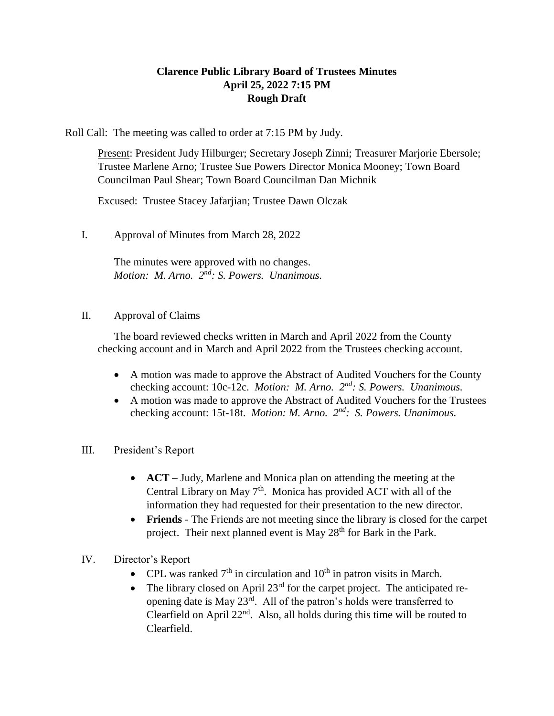## **Clarence Public Library Board of Trustees Minutes April 25, 2022 7:15 PM Rough Draft**

Roll Call: The meeting was called to order at 7:15 PM by Judy.

Present: President Judy Hilburger; Secretary Joseph Zinni; Treasurer Marjorie Ebersole; Trustee Marlene Arno; Trustee Sue Powers Director Monica Mooney; Town Board Councilman Paul Shear; Town Board Councilman Dan Michnik

Excused: Trustee Stacey Jafarjian; Trustee Dawn Olczak

I. Approval of Minutes from March 28, 2022

The minutes were approved with no changes. Motion: M. Arno.  $2^{nd}$ : S. Powers. Unanimous.

## II. Approval of Claims

The board reviewed checks written in March and April 2022 from the County checking account and in March and April 2022 from the Trustees checking account.

- A motion was made to approve the Abstract of Audited Vouchers for the County checking account: 10c-12c. *Motion: M. Arno. 2<sup>nd</sup>: S. Powers. Unanimous.*
- A motion was made to approve the Abstract of Audited Vouchers for the Trustees checking account: 15t-18t. *Motion: M. Arno.*  $2^{nd}$ : S. Powers. Unanimous.
- III. President's Report
	- **ACT** Judy, Marlene and Monica plan on attending the meeting at the Central Library on May  $7<sup>th</sup>$ . Monica has provided ACT with all of the information they had requested for their presentation to the new director.
	- **Friends** The Friends are not meeting since the library is closed for the carpet project. Their next planned event is May  $28<sup>th</sup>$  for Bark in the Park.
- IV. Director's Report
	- CPL was ranked  $7<sup>th</sup>$  in circulation and  $10<sup>th</sup>$  in patron visits in March.
	- The library closed on April  $23<sup>rd</sup>$  for the carpet project. The anticipated reopening date is May 23<sup>rd</sup>. All of the patron's holds were transferred to Clearfield on April  $22<sup>nd</sup>$ . Also, all holds during this time will be routed to Clearfield.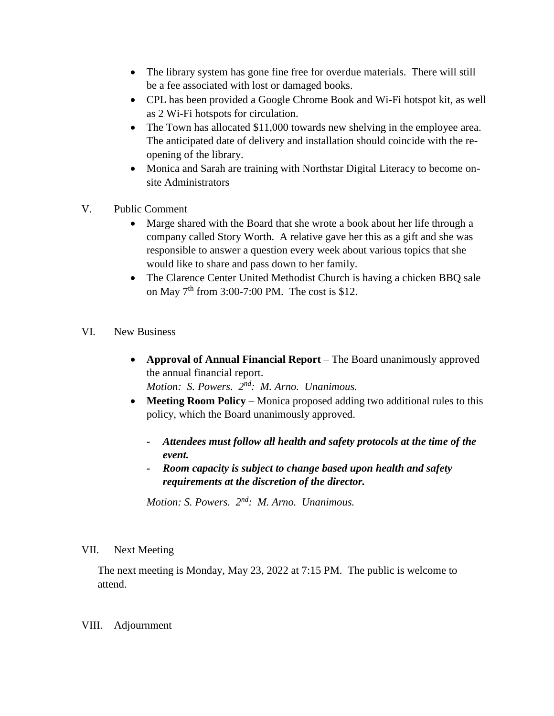- The library system has gone fine free for overdue materials. There will still be a fee associated with lost or damaged books.
- CPL has been provided a Google Chrome Book and Wi-Fi hotspot kit, as well as 2 Wi-Fi hotspots for circulation.
- The Town has allocated \$11,000 towards new shelving in the employee area. The anticipated date of delivery and installation should coincide with the reopening of the library.
- Monica and Sarah are training with Northstar Digital Literacy to become onsite Administrators
- V. Public Comment
	- Marge shared with the Board that she wrote a book about her life through a company called Story Worth. A relative gave her this as a gift and she was responsible to answer a question every week about various topics that she would like to share and pass down to her family.
	- The Clarence Center United Methodist Church is having a chicken BBQ sale on May  $7<sup>th</sup>$  from 3:00-7:00 PM. The cost is \$12.
- VI. New Business
	- **Approval of Annual Financial Report** The Board unanimously approved the annual financial report. *Motion: S. Powers. 2nd: M. Arno. Unanimous.*
	- **Meeting Room Policy** Monica proposed adding two additional rules to this policy, which the Board unanimously approved.
		- **-** *Attendees must follow all health and safety protocols at the time of the event.*
		- **-** *Room capacity is subject to change based upon health and safety requirements at the discretion of the director.*

*Motion: S. Powers. 2nd: M. Arno. Unanimous.*

## VII. Next Meeting

The next meeting is Monday, May 23, 2022 at 7:15 PM. The public is welcome to attend.

## VIII. Adjournment